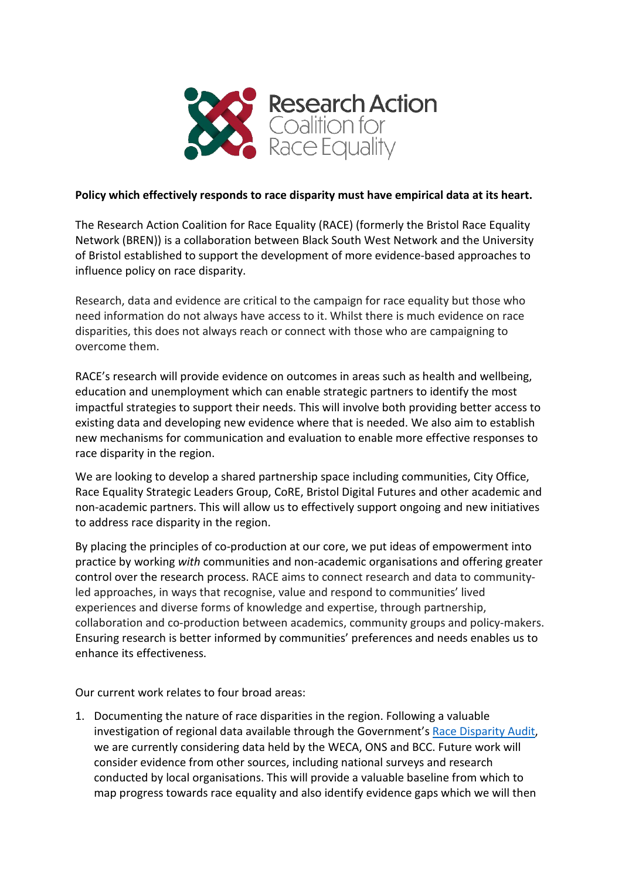

## **Policy which effectively responds to race disparity must have empirical data at its heart.**

The Research Action Coalition for Race Equality (RACE) (formerly the Bristol Race Equality Network (BREN)) is a collaboration between Black South West Network and the University of Bristol established to support the development of more evidence-based approaches to influence policy on race disparity.

Research, data and evidence are critical to the campaign for race equality but those who need information do not always have access to it. Whilst there is much evidence on race disparities, this does not always reach or connect with those who are campaigning to overcome them.

RACE's research will provide evidence on outcomes in areas such as health and wellbeing, education and unemployment which can enable strategic partners to identify the most impactful strategies to support their needs. This will involve both providing better access to existing data and developing new evidence where that is needed. We also aim to establish new mechanisms for communication and evaluation to enable more effective responses to race disparity in the region.

We are looking to develop a shared partnership space including communities, City Office, Race Equality Strategic Leaders Group, CoRE, Bristol Digital Futures and other academic and non-academic partners. This will allow us to effectively support ongoing and new initiatives to address race disparity in the region.

By placing the principles of co-production at our core, we put ideas of empowerment into practice by working *with* communities and non-academic organisations and offering greater control over the research process. RACE aims to connect research and data to communityled approaches, in ways that recognise, value and respond to communities' lived experiences and diverse forms of knowledge and expertise, through partnership, collaboration and co-production between academics, community groups and policy-makers. Ensuring research is better informed by communities' preferences and needs enables us to enhance its effectiveness.

Our current work relates to four broad areas:

1. Documenting the nature of race disparities in the region. Following a valuable investigation of regional data available through the Government's [Race Disparity Audit,](http://www.bristol.ac.uk/media-library/sites/policybristol/briefings-and-reports-pdfs/2020-briefings-and-reports-pdfs/Karlsen%20Retief%20Jirde%20DataRegionalRaceDisparity.pdf) we are currently considering data held by the WECA, ONS and BCC. Future work will consider evidence from other sources, including national surveys and research conducted by local organisations. This will provide a valuable baseline from which to map progress towards race equality and also identify evidence gaps which we will then